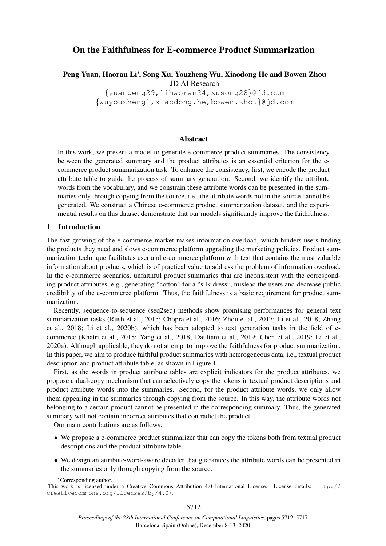# On the Faithfulness for E-commerce Product Summarization

Peng Yuan, Haoran Li<sup>∗</sup>, Song Xu, Youzheng Wu, Xiaodong He and Bowen Zhou JD AI Research

> {yuanpeng29,lihaoran24,xusong28}@jd.com {wuyouzheng1,xiaodong.he,bowen.zhou}@jd.com

## Abstract

In this work, we present a model to generate e-commerce product summaries. The consistency between the generated summary and the product attributes is an essential criterion for the ecommerce product summarization task. To enhance the consistency, first, we encode the product attribute table to guide the process of summary generation. Second, we identify the attribute words from the vocabulary, and we constrain these attribute words can be presented in the summaries only through copying from the source, i.e., the attribute words not in the source cannot be generated. We construct a Chinese e-commerce product summarization dataset, and the experimental results on this dataset demonstrate that our models significantly improve the faithfulness.

## 1 Introduction

The fast growing of the e-commerce market makes information overload, which hinders users finding the products they need and slows e-commerce platform upgrading the marketing policies. Product summarization technique facilitates user and e-commerce platform with text that contains the most valuable information about products, which is of practical value to address the problem of information overload. In the e-commerce scenarios, unfaithful product summaries that are inconsistent with the corresponding product attributes, e.g., generating "cotton" for a "silk dress", mislead the users and decrease public credibility of the e-commerce platform. Thus, the faithfulness is a basic requirement for product summarization.

Recently, sequence-to-sequence (seq2seq) methods show promising performances for general text summarization tasks (Rush et al., 2015; Chopra et al., 2016; Zhou et al., 2017; Li et al., 2018; Zhang et al., 2018; Li et al., 2020b), which has been adopted to text generation tasks in the field of ecommerce (Khatri et al., 2018; Yang et al., 2018; Daultani et al., 2019; Chen et al., 2019; Li et al., 2020a). Although applicable, they do not attempt to improve the faithfulness for product summarization. In this paper, we aim to produce faithful product summaries with heterogeneous data, i.e., textual product description and product attribute table, as shown in Figure 1.

First, as the words in product attribute tables are explicit indicators for the product attributes, we propose a dual-copy mechanism that can selectively copy the tokens in textual product descriptions and product attribute words into the summaries. Second, for the product attribute words, we only allow them appearing in the summaries through copying from the source. In this way, the attribute words not belonging to a certain product cannot be presented in the corresponding summary. Thus, the generated summary will not contain incorrect attributes that contradict the product.

Our main contributions are as follows:

- We propose a e-commerce product summarizer that can copy the tokens both from textual product descriptions and the product attribute table.
- We design an attribute-word-aware decoder that guarantees the attribute words can be presented in the summaries only through copying from the source.

<sup>∗</sup>Corresponding author.

This work is licensed under a Creative Commons Attribution 4.0 International License. License details: http:// creativecommons.org/licenses/by/4.0/.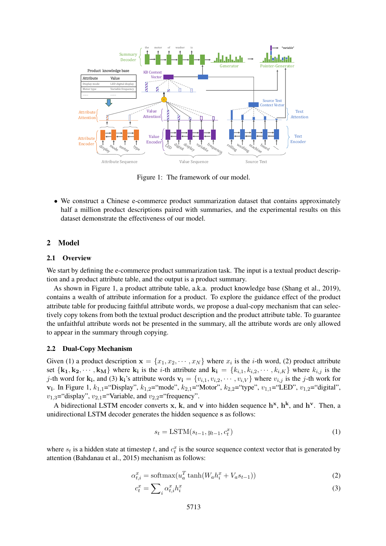

Figure 1: The framework of our model.

• We construct a Chinese e-commerce product summarization dataset that contains approximately half a million product descriptions paired with summaries, and the experimental results on this dataset demonstrate the effectiveness of our model.

## 2 Model

#### 2.1 Overview

We start by defining the e-commerce product summarization task. The input is a textual product description and a product attribute table, and the output is a product summary.

As shown in Figure 1, a product attribute table, a.k.a. product knowledge base (Shang et al., 2019), contains a wealth of attribute information for a product. To explore the guidance effect of the product attribute table for producing faithful attribute words, we propose a dual-copy mechanism that can selectively copy tokens from both the textual product description and the product attribute table. To guarantee the unfaithful attribute words not be presented in the summary, all the attribute words are only allowed to appear in the summary through copying.

### 2.2 Dual-Copy Mechanism

Given (1) a product description  $\mathbf{x} = \{x_1, x_2, \dots, x_N\}$  where  $x_i$  is the *i*-th word, (2) product attribute set  $\{k_1, k_2, \dots, k_M\}$  where  $k_i$  is the *i*-th attribute and  $k_i = \{k_{i,1}, k_{i,2}, \dots, k_{i,K}\}$  where  $k_{i,j}$  is the *j*-th word for  $\bf{k}_i$ , and (3)  $\bf{k}_i$ 's attribute words  $\bf{v}_i = \{v_{i,1}, v_{i,2}, \cdots, v_{i,V}\}$  where  $v_{i,j}$  is the *j*-th work for  $v_i$ . In Figure 1,  $k_{1,1}$ = "Display",  $k_{1,2}$ = "mode",  $k_{2,1}$ = "Motor",  $k_{2,2}$ = "type",  $v_{1,1}$ = "LED",  $v_{1,2}$ = "digital",  $v_{1,3}$ ="display",  $v_{2,1}$ ="Variable, and  $v_{2,2}$ ="frequency".

A bidirectional LSTM encoder converts x, k, and v into hidden sequence  $h^x$ ,  $h^k$ , and  $h^v$ . Then, a unidirectional LSTM decoder generates the hidden sequence s as follows:

$$
s_t = \text{LSTM}(s_{t-1}, y_{t-1}, c_t^x) \tag{1}
$$

where  $s_t$  is a hidden state at timestep t, and  $c_t^x$  is the source sequence context vector that is generated by attention (Bahdanau et al., 2015) mechanism as follows:

$$
\alpha_{t,i}^x = \text{softmax}(u_a^T \tanh(W_a h_i^x + V_a s_{t-1})) \tag{2}
$$

$$
c_t^x = \sum_i \alpha_{t,i}^x h_i^x \tag{3}
$$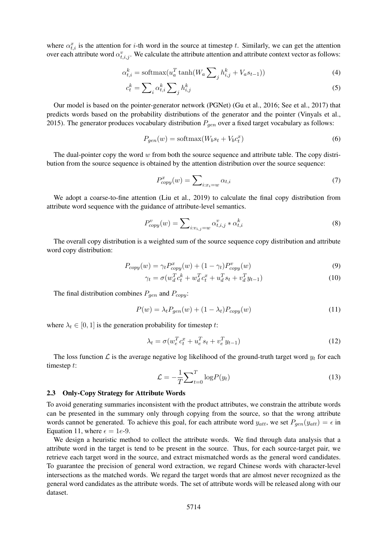where  $\alpha_{t,i}^x$  is the attention for *i*-th word in the source at timestep t. Similarly, we can get the attention over each attribute word  $\alpha_{t,i,j}^v$ . We calculate the attribute attention and attribute context vector as follows:

$$
\alpha_{t,i}^k = \operatorname{softmax}(u_a^T \tanh(W_a \sum_j h_{i,j}^k + V_a s_{t-1}))
$$
\n(4)

$$
c_t^k = \sum_i \alpha_{t,i}^k \sum_j h_{i,j}^k \tag{5}
$$

Our model is based on the pointer-generator network (PGNet) (Gu et al., 2016; See et al., 2017) that predicts words based on the probability distributions of the generator and the pointer (Vinyals et al., 2015). The generator produces vocabulary distribution  $P_{gen}$  over a fixed target vocabulary as follows:

$$
P_{gen}(w) = \text{softmax}(W_b s_t + V_b c_t^x)
$$
\n<sup>(6)</sup>

The dual-pointer copy the word  $w$  from both the source sequence and attribute table. The copy distribution from the source sequence is obtained by the attention distribution over the source sequence:

$$
P_{copy}^x(w) = \sum_{i:x_i=w} \alpha_{t,i} \tag{7}
$$

We adopt a coarse-to-fine attention (Liu et al., 2019) to calculate the final copy distribution from attribute word sequence with the guidance of attribute-level semantics.

$$
P_{copy}^{v}(w) = \sum_{i:v_{i,j}=w} \alpha_{t,i,j}^{v} * \alpha_{t,i}^{k}
$$
\n(8)

The overall copy distribution is a weighted sum of the source sequence copy distribution and attribute word copy distribution:

$$
P_{copy}(w) = \gamma_t P_{copy}^x(w) + (1 - \gamma_t) P_{copy}^v(w)
$$
\n(9)

$$
\gamma_t = \sigma(w_d^T c_t^k + w_d^T c_t^x + u_d^T s_t + v_d^T y_{t-1})
$$
\n(10)

The final distribution combines  $P_{gen}$  and  $P_{copy}$ :

$$
P(w) = \lambda_t P_{gen}(w) + (1 - \lambda_t) P_{copy}(w)
$$
\n(11)

where  $\lambda_t \in [0, 1]$  is the generation probability for timestep t:

$$
\lambda_t = \sigma(w_e^T c_t^x + u_e^T s_t + v_e^T y_{t-1})
$$
\n(12)

The loss function  $\mathcal L$  is the average negative log likelihood of the ground-truth target word  $y_t$  for each timestep t:

$$
\mathcal{L} = -\frac{1}{T} \sum_{t=0}^{T} \log P(y_t)
$$
\n(13)

### 2.3 Only-Copy Strategy for Attribute Words

To avoid generating summaries inconsistent with the product attributes, we constrain the attribute words can be presented in the summary only through copying from the source, so that the wrong attribute words cannot be generated. To achieve this goal, for each attribute word  $y_{att}$ , we set  $P_{gen}(y_{att}) = \epsilon$  in Equation 11, where  $\epsilon = 1e-9$ .

We design a heuristic method to collect the attribute words. We find through data analysis that a attribute word in the target is tend to be present in the source. Thus, for each source-target pair, we retrieve each target word in the source, and extract mismatched words as the general word candidates. To guarantee the precision of general word extraction, we regard Chinese words with character-level intersections as the matched words. We regard the target words that are almost never recognized as the general word candidates as the attribute words. The set of attribute words will be released along with our dataset.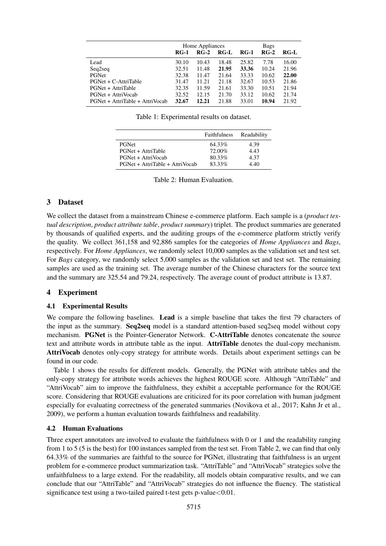|                                 | Home Appliances |        |       | <b>Bags</b> |        |        |
|---------------------------------|-----------------|--------|-------|-------------|--------|--------|
|                                 | <b>RG-1</b>     | $RG-2$ | RG-L  | $RG-1$      | $RG-2$ | $RG-I$ |
| Lead                            | 30.10           | 10.43  | 18.48 | 25.82       | 7.78   | 16.00  |
| Seq2seq                         | 32.51           | 11.48  | 21.95 | 33.36       | 10.24  | 21.96  |
| PGNet                           | 32.38           | 11.47  | 21.64 | 33.33       | 10.62  | 22.00  |
| PGNet + C-AttriTable            | 31.47           | 11.21  | 21.18 | 32.67       | 10.53  | 21.86  |
| PGNet + AttriTable              | 32.35           | 11.59  | 21.61 | 33.30       | 10.51  | 21.94  |
| PGNet + AttriVocab              | 32.52           | 12.15  | 21.70 | 33.12       | 10.62  | 21.74  |
| PGNet + AttriTable + AttriVocab | 32.67           | 12.21  | 21.88 | 33.01       | 10.94  | 21.92  |

Table 1: Experimental results on dataset.

|                                 | <b>Faithfulness</b> | Readability |
|---------------------------------|---------------------|-------------|
| <b>PGNet</b>                    | 64.33%              | 4.39        |
| PGNet + AttriTable              | 72.00%              | 4.43        |
| PGNet + AttriVocab              | 80.33%              | 4.37        |
| PGNet + AttriTable + AttriVocab | 83.33%              | 4.40        |

Table 2: Human Evaluation.

## 3 Dataset

We collect the dataset from a mainstream Chinese e-commerce platform. Each sample is a (*product textual description*, *product attribute table*, *product summary*) triplet. The product summaries are generated by thousands of qualified experts, and the auditing groups of the e-commerce platform strictly verify the quality. We collect 361,158 and 92,886 samples for the categories of *Home Appliances* and *Bags*, respectively. For *Home Appliances*, we randomly select 10,000 samples as the validation set and test set. For *Bags* category, we randomly select 5,000 samples as the validation set and test set. The remaining samples are used as the training set. The average number of the Chinese characters for the source text and the summary are 325.54 and 79.24, respectively. The average count of product attribute is 13.87.

## 4 Experiment

## 4.1 Experimental Results

We compare the following baselines. Lead is a simple baseline that takes the first 79 characters of the input as the summary. Seq2seq model is a standard attention-based seq2seq model without copy mechanism. PGNet is the Pointer-Generator Network. C-AttriTable denotes concatenate the source text and attribute words in attribute table as the input. AttriTable denotes the dual-copy mechanism. AttriVocab denotes only-copy strategy for attribute words. Details about experiment settings can be found in our code.

Table 1 shows the results for different models. Generally, the PGNet with attribute tables and the only-copy strategy for attribute words achieves the highest ROUGE score. Although "AttriTable" and "AttriVocab" aim to improve the faithfulness, they exhibit a acceptable performance for the ROUGE score. Considering that ROUGE evaluations are criticized for its poor correlation with human judgment especially for evaluating correctness of the generated summaries (Novikova et al., 2017; Kahn Jr et al., 2009), we perform a human evaluation towards faithfulness and readability.

## 4.2 Human Evaluations

Three expert annotators are involved to evaluate the faithfulness with 0 or 1 and the readability ranging from 1 to 5 (5 is the best) for 100 instances sampled from the test set. From Table 2, we can find that only 64.33% of the summaries are faithful to the source for PGNet, illustrating that faithfulness is an urgent problem for e-commerce product summarization task. "AttriTable" and "AttriVocab" strategies solve the unfaithfulness to a large extend. For the readability, all models obtain comparative results, and we can conclude that our "AttriTable" and "AttriVocab" strategies do not influence the fluency. The statistical significance test using a two-tailed paired t-test gets p-value < 0.01.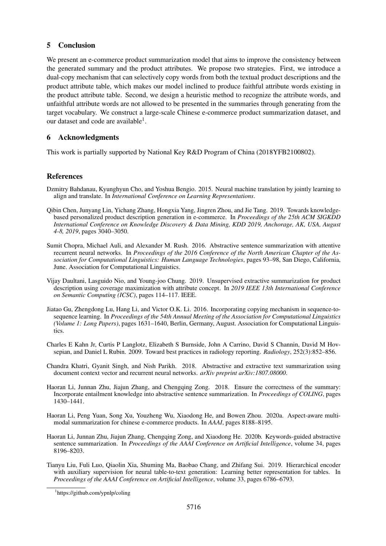# 5 Conclusion

We present an e-commerce product summarization model that aims to improve the consistency between the generated summary and the product attributes. We propose two strategies. First, we introduce a dual-copy mechanism that can selectively copy words from both the textual product descriptions and the product attribute table, which makes our model inclined to produce faithful attribute words existing in the product attribute table. Second, we design a heuristic method to recognize the attribute words, and unfaithful attribute words are not allowed to be presented in the summaries through generating from the target vocabulary. We construct a large-scale Chinese e-commerce product summarization dataset, and our dataset and code are available<sup>1</sup>.

# 6 Acknowledgments

This work is partially supported by National Key R&D Program of China (2018YFB2100802).

# References

- Dzmitry Bahdanau, Kyunghyun Cho, and Yoshua Bengio. 2015. Neural machine translation by jointly learning to align and translate. In *International Conference on Learning Representations*.
- Qibin Chen, Junyang Lin, Yichang Zhang, Hongxia Yang, Jingren Zhou, and Jie Tang. 2019. Towards knowledgebased personalized product description generation in e-commerce. In *Proceedings of the 25th ACM SIGKDD International Conference on Knowledge Discovery & Data Mining, KDD 2019, Anchorage, AK, USA, August 4-8, 2019*, pages 3040–3050.
- Sumit Chopra, Michael Auli, and Alexander M. Rush. 2016. Abstractive sentence summarization with attentive recurrent neural networks. In *Proceedings of the 2016 Conference of the North American Chapter of the Association for Computational Linguistics: Human Language Technologies*, pages 93–98, San Diego, California, June. Association for Computational Linguistics.
- Vijay Daultani, Lasguido Nio, and Young-joo Chung. 2019. Unsupervised extractive summarization for product description using coverage maximization with attribute concept. In *2019 IEEE 13th International Conference on Semantic Computing (ICSC)*, pages 114–117. IEEE.
- Jiatao Gu, Zhengdong Lu, Hang Li, and Victor O.K. Li. 2016. Incorporating copying mechanism in sequence-tosequence learning. In *Proceedings of the 54th Annual Meeting of the Association for Computational Linguistics (Volume 1: Long Papers)*, pages 1631–1640, Berlin, Germany, August. Association for Computational Linguistics.
- Charles E Kahn Jr, Curtis P Langlotz, Elizabeth S Burnside, John A Carrino, David S Channin, David M Hovsepian, and Daniel L Rubin. 2009. Toward best practices in radiology reporting. *Radiology*, 252(3):852–856.
- Chandra Khatri, Gyanit Singh, and Nish Parikh. 2018. Abstractive and extractive text summarization using document context vector and recurrent neural networks. *arXiv preprint arXiv:1807.08000*.
- Haoran Li, Junnan Zhu, Jiajun Zhang, and Chengqing Zong. 2018. Ensure the correctness of the summary: Incorporate entailment knowledge into abstractive sentence summarization. In *Proceedings of COLING*, pages 1430–1441.
- Haoran Li, Peng Yuan, Song Xu, Youzheng Wu, Xiaodong He, and Bowen Zhou. 2020a. Aspect-aware multimodal summarization for chinese e-commerce products. In *AAAI*, pages 8188–8195.
- Haoran Li, Junnan Zhu, Jiajun Zhang, Chengqing Zong, and Xiaodong He. 2020b. Keywords-guided abstractive sentence summarization. In *Proceedings of the AAAI Conference on Artificial Intelligence*, volume 34, pages 8196–8203.
- Tianyu Liu, Fuli Luo, Qiaolin Xia, Shuming Ma, Baobao Chang, and Zhifang Sui. 2019. Hierarchical encoder with auxiliary supervision for neural table-to-text generation: Learning better representation for tables. In *Proceedings of the AAAI Conference on Artificial Intelligence*, volume 33, pages 6786–6793.

<sup>1</sup> https://github.com/ypnlp/coling